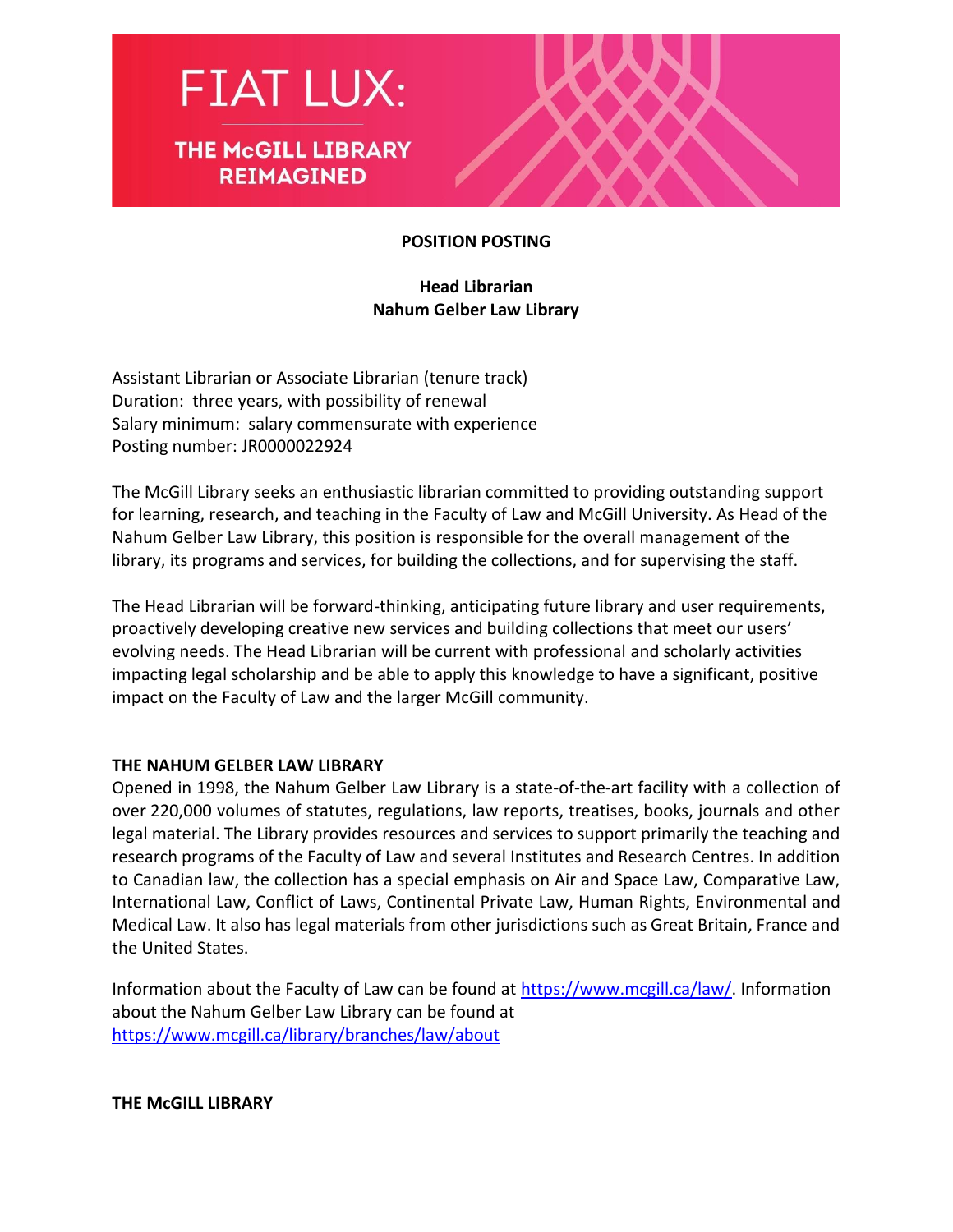



#### **POSITION POSTING**

#### **Head Librarian Nahum Gelber Law Library**

Assistant Librarian or Associate Librarian (tenure track) Duration: three years, with possibility of renewal Salary minimum: salary commensurate with experience Posting number: JR0000022924

The McGill Library seeks an enthusiastic librarian committed to providing outstanding support for learning, research, and teaching in the Faculty of Law and McGill University. As Head of the Nahum Gelber Law Library, this position is responsible for the overall management of the library, its programs and services, for building the collections, and for supervising the staff.

The Head Librarian will be forward-thinking, anticipating future library and user requirements, proactively developing creative new services and building collections that meet our users' evolving needs. The Head Librarian will be current with professional and scholarly activities impacting legal scholarship and be able to apply this knowledge to have a significant, positive impact on the Faculty of Law and the larger McGill community.

#### **THE NAHUM GELBER LAW LIBRARY**

Opened in 1998, the Nahum Gelber Law Library is a state-of-the-art facility with a collection of over 220,000 volumes of statutes, regulations, law reports, treatises, books, journals and other legal material. The Library provides resources and services to support primarily the teaching and research programs of the Faculty of Law and several Institutes and Research Centres. In addition to Canadian law, the collection has a special emphasis on Air and Space Law, Comparative Law, International Law, Conflict of Laws, Continental Private Law, Human Rights, Environmental and Medical Law. It also has legal materials from other jurisdictions such as Great Britain, France and the United States.

Information about the Faculty of Law can be found at [https://www.mcgill.ca/law/.](https://www.mcgill.ca/law/) Information about the Nahum Gelber Law Library can be found at <https://www.mcgill.ca/library/branches/law/about>

**THE McGILL LIBRARY**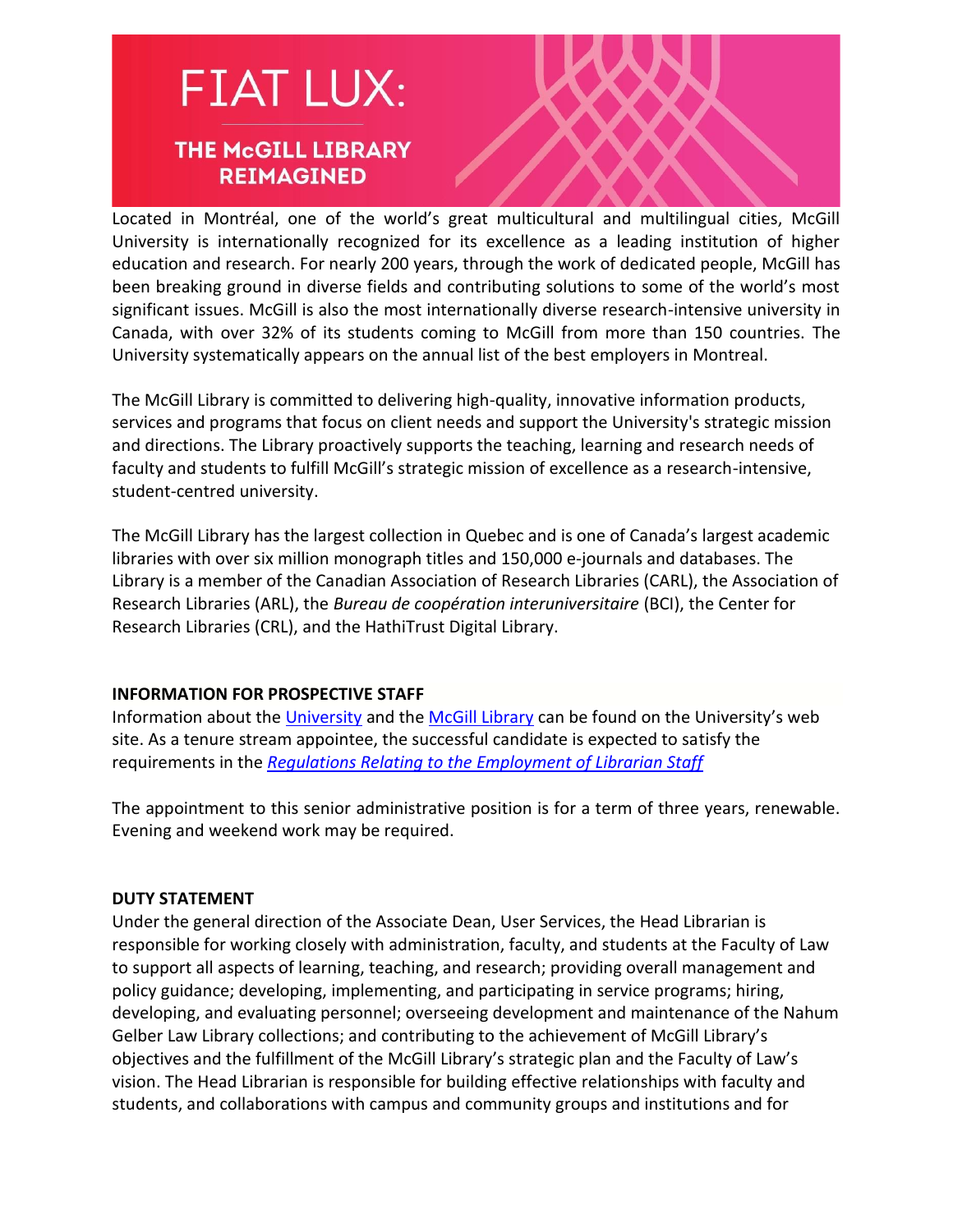### **FIAT LUX: THE McGILL LIBRARY REIMAGINED**

Located in Montréal, one of the world's great multicultural and multilingual cities, McGill University is internationally recognized for its excellence as a leading institution of higher education and research. For nearly 200 years, through the work of dedicated people, McGill has been breaking ground in diverse fields and contributing solutions to some of the world's most significant issues. McGill is also the most internationally diverse research-intensive university in Canada, with over 32% of its students coming to McGill from more than 150 countries. The University systematically appears on the annual list of the best employers in Montreal.

The McGill Library is committed to delivering high-quality, innovative information products, services and programs that focus on client needs and support the University's strategic mission and directions. The Library proactively supports the teaching, learning and research needs of faculty and students to fulfill McGill's strategic mission of excellence as a research-intensive, student-centred university.

The McGill Library has the largest collection in Quebec and is one of Canada's largest academic libraries with over six million monograph titles and 150,000 e-journals and databases. The Library is a member of the Canadian Association of Research Libraries (CARL), the Association of Research Libraries (ARL), the *Bureau de coopération interuniversitaire* (BCI), the Center for Research Libraries (CRL), and the HathiTrust Digital Library.

#### **INFORMATION FOR PROSPECTIVE STAFF**

Information about the [University](http://www.mcgill.ca/) and the [McGill Library](http://www.mcgill.ca/library) can be found on the University's web site. As a tenure stream appointee, the successful candidate is expected to satisfy the requirements in the *[Regulations Relating to the Employment of Librarian Staff](https://www.mcgill.ca/secretariat/files/secretariat/employment_of_librarian_staff_regs_relating_to_the.pdf)*

The appointment to this senior administrative position is for a term of three years, renewable. Evening and weekend work may be required.

#### **DUTY STATEMENT**

Under the general direction of the Associate Dean, User Services, the Head Librarian is responsible for working closely with administration, faculty, and students at the Faculty of Law to support all aspects of learning, teaching, and research; providing overall management and policy guidance; developing, implementing, and participating in service programs; hiring, developing, and evaluating personnel; overseeing development and maintenance of the Nahum Gelber Law Library collections; and contributing to the achievement of McGill Library's objectives and the fulfillment of the McGill Library's strategic plan and the Faculty of Law's vision. The Head Librarian is responsible for building effective relationships with faculty and students, and collaborations with campus and community groups and institutions and for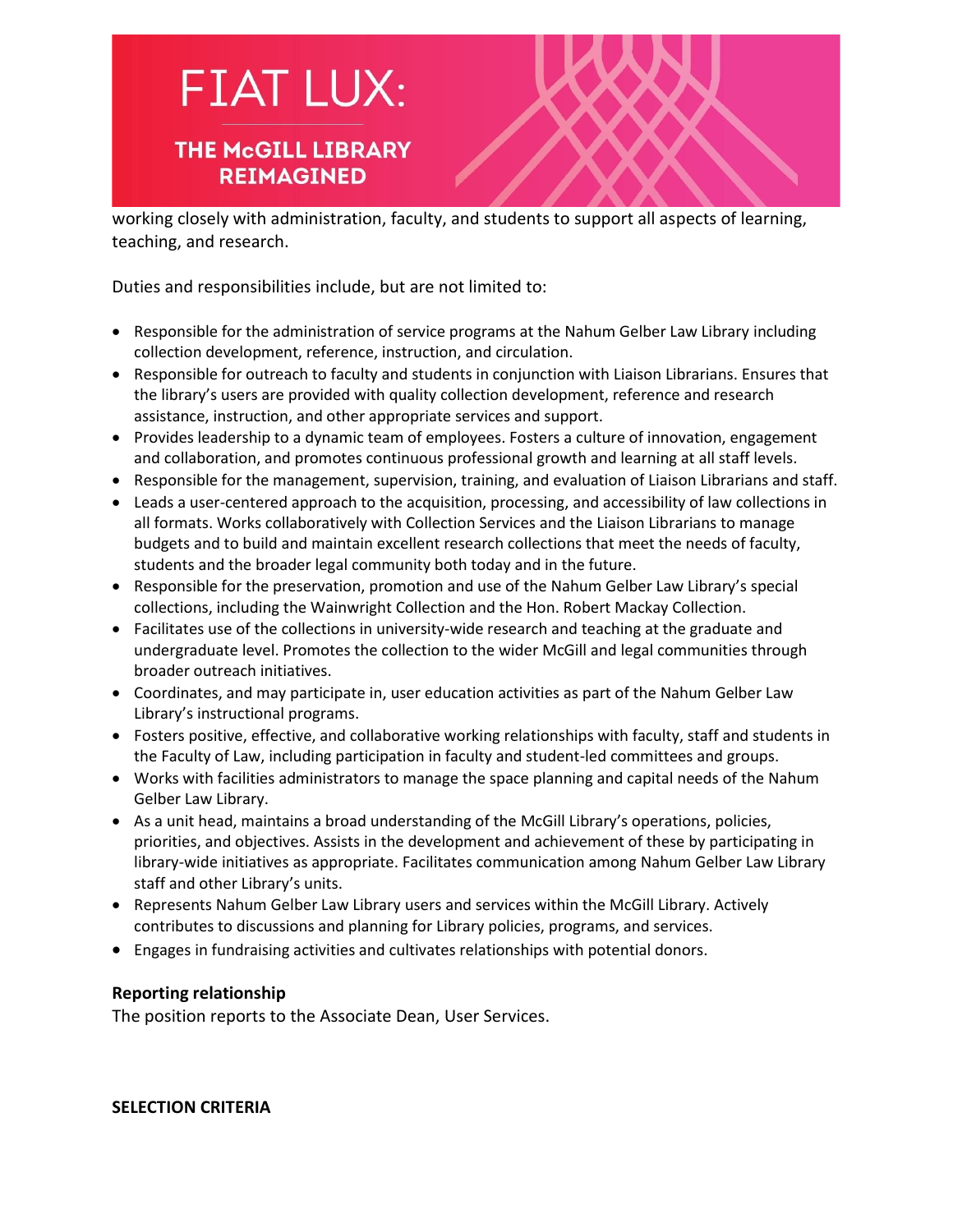## **FIAT LUX:**

#### **THE McGILL LIBRARY REIMAGINED**

working closely with administration, faculty, and students to support all aspects of learning, teaching, and research.

Duties and responsibilities include, but are not limited to:

- Responsible for the administration of service programs at the Nahum Gelber Law Library including collection development, reference, instruction, and circulation.
- Responsible for outreach to faculty and students in conjunction with Liaison Librarians. Ensures that the library's users are provided with quality collection development, reference and research assistance, instruction, and other appropriate services and support.
- Provides leadership to a dynamic team of employees. Fosters a culture of innovation, engagement and collaboration, and promotes continuous professional growth and learning at all staff levels.
- Responsible for the management, supervision, training, and evaluation of Liaison Librarians and staff.
- Leads a user-centered approach to the acquisition, processing, and accessibility of law collections in all formats. Works collaboratively with Collection Services and the Liaison Librarians to manage budgets and to build and maintain excellent research collections that meet the needs of faculty, students and the broader legal community both today and in the future.
- Responsible for the preservation, promotion and use of the Nahum Gelber Law Library's special collections, including the Wainwright Collection and the Hon. Robert Mackay Collection.
- Facilitates use of the collections in university-wide research and teaching at the graduate and undergraduate level. Promotes the collection to the wider McGill and legal communities through broader outreach initiatives.
- Coordinates, and may participate in, user education activities as part of the Nahum Gelber Law Library's instructional programs.
- Fosters positive, effective, and collaborative working relationships with faculty, staff and students in the Faculty of Law, including participation in faculty and student-led committees and groups.
- Works with facilities administrators to manage the space planning and capital needs of the Nahum Gelber Law Library.
- As a unit head, maintains a broad understanding of the McGill Library's operations, policies, priorities, and objectives. Assists in the development and achievement of these by participating in library-wide initiatives as appropriate. Facilitates communication among Nahum Gelber Law Library staff and other Library's units.
- Represents Nahum Gelber Law Library users and services within the McGill Library. Actively contributes to discussions and planning for Library policies, programs, and services.
- Engages in fundraising activities and cultivates relationships with potential donors.

#### **Reporting relationship**

The position reports to the Associate Dean, User Services.

**SELECTION CRITERIA**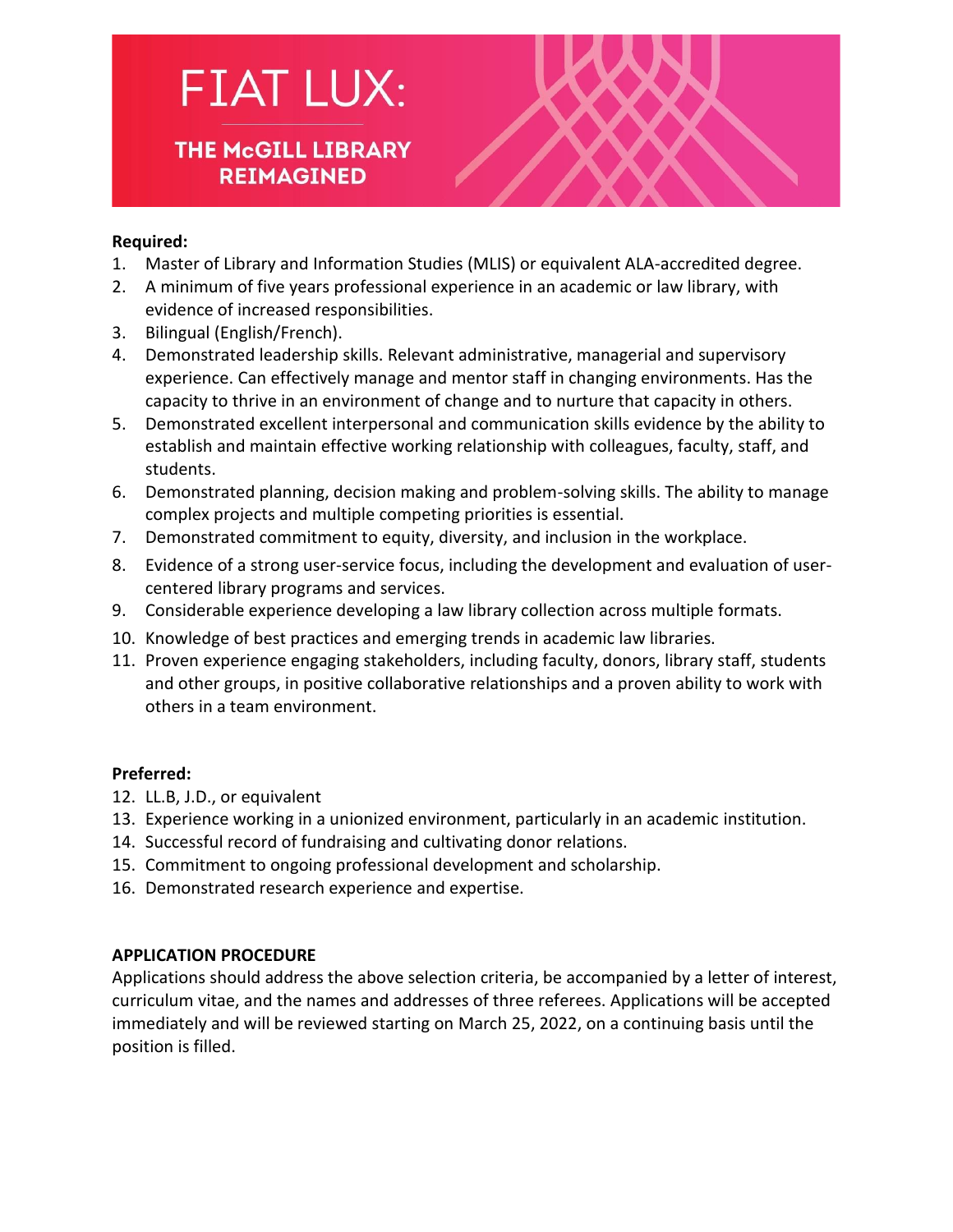# **FIAT LUX:**

#### **THE McGILL LIBRARY REIMAGINED**



#### **Required:**

- 1. Master of Library and Information Studies (MLIS) or equivalent ALA-accredited degree.
- 2. A minimum of five years professional experience in an academic or law library, with evidence of increased responsibilities.
- 3. Bilingual (English/French).
- 4. Demonstrated leadership skills. Relevant administrative, managerial and supervisory experience. Can effectively manage and mentor staff in changing environments. Has the capacity to thrive in an environment of change and to nurture that capacity in others.
- 5. Demonstrated excellent interpersonal and communication skills evidence by the ability to establish and maintain effective working relationship with colleagues, faculty, staff, and students.
- 6. Demonstrated planning, decision making and problem-solving skills. The ability to manage complex projects and multiple competing priorities is essential.
- 7. Demonstrated commitment to equity, diversity, and inclusion in the workplace.
- 8. Evidence of a strong user-service focus, including the development and evaluation of usercentered library programs and services.
- 9. Considerable experience developing a law library collection across multiple formats.
- 10. Knowledge of best practices and emerging trends in academic law libraries.
- 11. Proven experience engaging stakeholders, including faculty, donors, library staff, students and other groups, in positive collaborative relationships and a proven ability to work with others in a team environment.

#### **Preferred:**

- 12. LL.B, J.D., or equivalent
- 13. Experience working in a unionized environment, particularly in an academic institution.
- 14. Successful record of fundraising and cultivating donor relations.
- 15. Commitment to ongoing professional development and scholarship.
- 16. Demonstrated research experience and expertise.

#### **APPLICATION PROCEDURE**

Applications should address the above selection criteria, be accompanied by a letter of interest, curriculum vitae, and the names and addresses of three referees. Applications will be accepted immediately and will be reviewed starting on March 25, 2022, on a continuing basis until the position is filled.